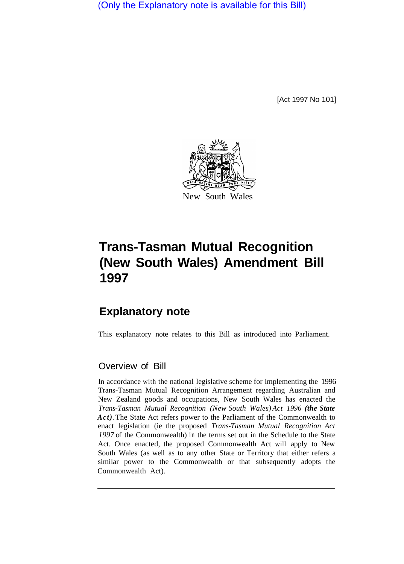(Only the Explanatory note is available for this Bill)

[Act 1997 No 101]



## **Trans-Tasman Mutual Recognition (New South Wales) Amendment Bill 1997**

## **Explanatory note**

This explanatory note relates to this Bill as introduced into Parliament.

## Overview of Bill

In accordance with the national legislative scheme for implementing the 1996 Trans-Tasman Mutual Recognition Arrangement regarding Australian and New Zealand goods and occupations, New South Wales has enacted the *Trans-Tasman Mutual Recognition (New South Wales) Act 1996 (the State Act)*.The State Act refers power to the Parliament of the Commonwealth to enact legislation (ie the proposed *Trans-Tasman Mutual Recognition Act 1997* of the Commonwealth) in the terms set out in the Schedule to the State Act. Once enacted, the proposed Commonwealth Act will apply to New South Wales (as well as to any other State or Territory that either refers a similar power to the Commonwealth or that subsequently adopts the Commonwealth Act).